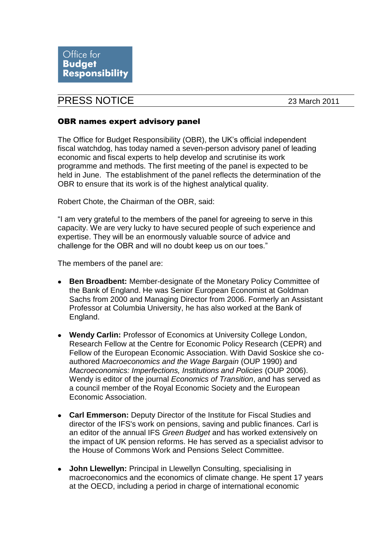## PRESS NOTICE 23 March 2011

## OBR names expert advisory panel

The Office for Budget Responsibility (OBR), the UK's official independent fiscal watchdog, has today named a seven-person advisory panel of leading economic and fiscal experts to help develop and scrutinise its work programme and methods. The first meeting of the panel is expected to be held in June. The establishment of the panel reflects the determination of the OBR to ensure that its work is of the highest analytical quality.

Robert Chote, the Chairman of the OBR, said:

"I am very grateful to the members of the panel for agreeing to serve in this capacity. We are very lucky to have secured people of such experience and expertise. They will be an enormously valuable source of advice and challenge for the OBR and will no doubt keep us on our toes."

The members of the panel are:

- **Ben Broadbent:** Member-designate of the Monetary Policy Committee of the Bank of England. He was Senior European Economist at Goldman Sachs from 2000 and Managing Director from 2006. Formerly an Assistant Professor at Columbia University, he has also worked at the Bank of England.
- **Wendy Carlin:** Professor of Economics at University College London, Research Fellow at the Centre for Economic Policy Research (CEPR) and Fellow of the European Economic Association. With David Soskice she coauthored *Macroeconomics and the Wage Bargain* (OUP 1990) and *Macroeconomics: Imperfections, Institutions and Policies* (OUP 2006). Wendy is editor of the journal *Economics of Transition*, and has served as a council member of the Royal Economic Society and the European Economic Association.
- **Carl Emmerson:** Deputy Director of the Institute for Fiscal Studies and director of the IFS's work on pensions, saving and public finances. Carl is an editor of the annual IFS *Green Budget* and has worked extensively on the impact of UK pension reforms. He has served as a specialist advisor to the House of Commons Work and Pensions Select Committee.
- **John Llewellyn:** Principal in Llewellyn Consulting, specialising in  $\bullet$ macroeconomics and the economics of climate change. He spent 17 years at the OECD, including a period in charge of international economic